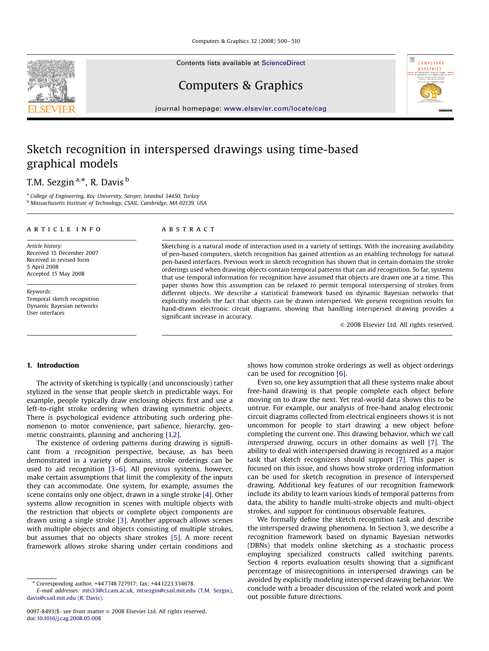Contents lists available at [ScienceDirect](www.sciencedirect.com/science/journal/cag)

Computers & Graphics

journal homepage: <www.elsevier.com/locate/cag>



# Sketch recognition in interspersed drawings using time-based graphical models

T.M. Sezgin <sup>a,\*</sup>, R. Davis <sup>b</sup>

<sup>a</sup> College of Engineering, Koc-University, Sarıyer, Istanbul 34450, Turkey <sup>b</sup> Massachusetts Institute of Technology, CSAIL, Cambridge, MA 02139, USA

# article info

Article history: Received 15 December 2007 Received in revised form 5 April 2008 Accepted 15 May 2008

Keywords: Temporal sketch recognition Dynamic Bayesian networks User interfaces

## ABSTRACT

Sketching is a natural mode of interaction used in a variety of settings. With the increasing availability of pen-based computers, sketch recognition has gained attention as an enabling technology for natural pen-based interfaces. Previous work in sketch recognition has shown that in certain domains the stroke orderings used when drawing objects contain temporal patterns that can aid recognition. So far, systems that use temporal information for recognition have assumed that objects are drawn one at a time. This paper shows how this assumption can be relaxed to permit temporal interspersing of strokes from different objects. We describe a statistical framework based on dynamic Bayesian networks that explicitly models the fact that objects can be drawn interspersed. We present recognition results for hand-drawn electronic circuit diagrams, showing that handling interspersed drawing provides a significant increase in accuracy.

 $\odot$  2008 Elsevier Ltd. All rights reserved.

# 1. Introduction

The activity of sketching is typically (and unconsciously) rather stylized in the sense that people sketch in predictable ways. For example, people typically draw enclosing objects first and use a left-to-right stroke ordering when drawing symmetric objects. There is psychological evidence attributing such ordering phenomenon to motor convenience, part salience, hierarchy, geometric constraints, planning and anchoring [\[1,2\].](#page-10-0)

The existence of ordering patterns during drawing is significant from a recognition perspective, because, as has been demonstrated in a variety of domains, stroke orderings can be used to aid recognition [\[3–6\].](#page-10-0) All previous systems, however, make certain assumptions that limit the complexity of the inputs they can accommodate. One system, for example, assumes the scene contains only one object, drawn in a single stroke [\[4\].](#page-10-0) Other systems allow recognition in scenes with multiple objects with the restriction that objects or complete object components are drawn using a single stroke [\[3\]](#page-10-0). Another approach allows scenes with multiple objects and objects consisting of multiple strokes, but assumes that no objects share strokes [\[5\]](#page-10-0). A more recent framework allows stroke sharing under certain conditions and

shows how common stroke orderings as well as object orderings can be used for recognition [\[6\].](#page-10-0)

Even so, one key assumption that all these systems make about free-hand drawing is that people complete each object before moving on to draw the next. Yet real-world data shows this to be untrue. For example, our analysis of free-hand analog electronic circuit diagrams collected from electrical engineers shows it is not uncommon for people to start drawing a new object before completing the current one. This drawing behavior, which we call interspersed drawing, occurs in other domains as well [\[7\].](#page-10-0) The ability to deal with interspersed drawing is recognized as a major task that sketch recognizers should support [\[7\].](#page-10-0) This paper is focused on this issue, and shows how stroke ordering information can be used for sketch recognition in presence of interspersed drawing. Additional key features of our recognition framework include its ability to learn various kinds of temporal patterns from data, the ability to handle multi-stroke objects and multi-object strokes, and support for continuous observable features.

We formally define the sketch recognition task and describe the interspersed drawing phenomena. In Section 3, we describe a recognition framework based on dynamic Bayesian networks (DBNs) that models online sketching as a stochastic process employing specialized constructs called switching parents. Section 4 reports evaluation results showing that a significant percentage of misrecognitions in interspersed drawings can be avoided by explicitly modeling interspersed drawing behavior. We conclude with a broader discussion of the related work and point out possible future directions.



<sup>-</sup> Corresponding author. +44 7748 727917; fax: +44 1223 334678.

E-mail addresses: [mts33@cl.cam.ac.uk,](mailto:mts33@cl.cam.ac.uk,) [mtsezgin@csail.mit.edu \(T.M. Sezgin\)](mailto:mtsezgin@csail.mit.edu), [davis@csail.mit.edu \(R. Davis\)](mailto:davis@csail.mit.edu).

<sup>0097-8493/\$ -</sup> see front matter  $\odot$  2008 Elsevier Ltd. All rights reserved. doi:[10.1016/j.cag.2008.05.008](dx.doi.org/10.1016/j.cag.2008.05.008)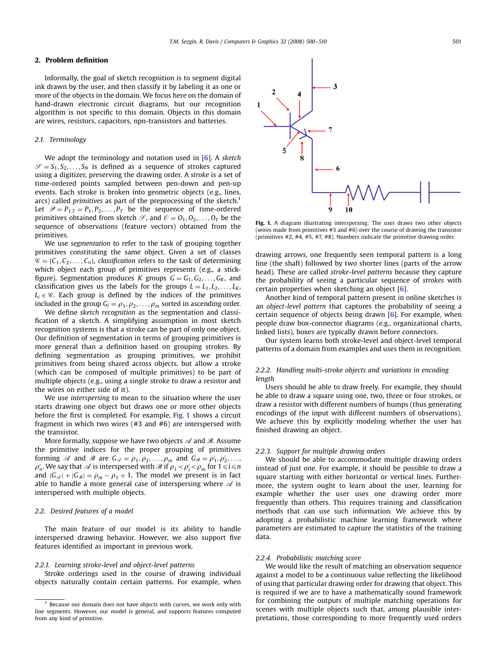# 2. Problem definition

Informally, the goal of sketch recognition is to segment digital ink drawn by the user, and then classify it by labeling it as one or more of the objects in the domain. We focus here on the domain of hand-drawn electronic circuit diagrams, but our recognition algorithm is not specific to this domain. Objects in this domain are wires, resistors, capacitors, npn-transistors and batteries.

# 2.1. Terminology

We adopt the terminology and notation used in [\[6\].](#page-10-0) A sketch  $\mathscr{S} = S_1, S_2, \ldots, S_N$  is defined as a sequence of strokes captured using a digitizer, preserving the drawing order. A stroke is a set of time-ordered points sampled between pen-down and pen-up events. Each stroke is broken into geometric objects (e.g., lines, arcs) called *primitives* as part of the preprocessing of the sketch.<sup>1</sup> Let  $\mathcal{P} = P_{1:T} = P_1, P_2, \ldots, P_T$  be the sequence of time-ordered primitives obtained from sketch  $\mathcal{S}$ , and  $\mathcal{O} = O_1, O_2, \ldots, O_T$  be the sequence of observations (feature vectors) obtained from the primitives.

We use segmentation to refer to the task of grouping together primitives constituting the same object. Given a set of classes  $\mathscr{C} = \{C_1, C_2, \ldots, C_n\}$ , classification refers to the task of determining which object each group of primitives represents (e.g., a stickfigure). Segmentation produces K groups  $G = G_1, G_2, \ldots, G_K$ , and classification gives us the labels for the groups  $L = L_1, L_2, \ldots, L_K$  $L_i \in \mathscr{C}$ . Each group is defined by the indices of the primitives included in the group  $G_i = \rho_1, \rho_2, \ldots, \rho_m$  sorted in ascending order.

We define sketch recognition as the segmentation and classification of a sketch. A simplifying assumption in most sketch recognition systems is that a stroke can be part of only one object. Our definition of segmentation in terms of grouping primitives is more general than a definition based on grouping strokes. By defining segmentation as grouping primitives, we prohibit primitives from being shared across objects, but allow a stroke (which can be composed of multiple primitives) to be part of multiple objects (e.g., using a single stroke to draw a resistor and the wires on either side of it).

We use interspersing to mean to the situation where the user starts drawing one object but draws one or more other objects before the first is completed. For example, Fig. 1 shows a circuit fragment in which two wires (#3 and #6) are interspersed with the transistor.

More formally, suppose we have two objects  $\mathscr A$  and  $\mathscr B$ . Assume the primitive indices for the proper grouping of primitives forming A and B are  $G_{\mathscr{A}} = \rho_1, \rho_2, \ldots, \rho_m$  and  $G_{\mathscr{B}} = \rho'_1, \rho'_2, \ldots, \rho'_m$  $\rho'_n$ . We say that  $\mathscr A$  is interspersed with  $\mathscr B$  if  $\rho_1<\rho'_i<\rho_m$  for  $1\!\leqslant\! i\!\leqslant\! n$ and  $|G_{\mathscr{A}}| + |G_{\mathscr{B}}| = \rho_m - \rho_1 + 1$ . The model we present is in fact able to handle a more general case of interspersing where  $\mathscr A$  is interspersed with multiple objects.

# 2.2. Desired features of a model

The main feature of our model is its ability to handle interspersed drawing behavior. However, we also support five features identified as important in previous work.

#### 2.2.1. Learning stroke-level and object-level patterns

Stroke orderings used in the course of drawing individual objects naturally contain certain patterns. For example, when



Fig. 1. A diagram illustrating interspersing: The user draws two other objects (wires made from primitives #3 and #6) over the course of drawing the transistor (primitives #2, #4, #5, #7, #8). Numbers indicate the primitive drawing order.

drawing arrows, one frequently seen temporal pattern is a long line (the shaft) followed by two shorter lines (parts of the arrow head). These are called stroke-level patterns because they capture the probability of seeing a particular sequence of strokes with certain properties when sketching an object [\[6\]](#page-10-0).

Another kind of temporal pattern present in online sketches is an object-level pattern that captures the probability of seeing a certain sequence of objects being drawn [\[6\]](#page-10-0). For example, when people draw box-connector diagrams (e.g., organizational charts, linked lists), boxes are typically drawn before connectors.

Our system learns both stroke-level and object-level temporal patterns of a domain from examples and uses them in recognition.

# 2.2.2. Handling multi-stroke objects and variations in encoding length

Users should be able to draw freely. For example, they should be able to draw a square using one, two, three or four strokes, or draw a resistor with different numbers of humps (thus generating encodings of the input with different numbers of observations). We achieve this by explicitly modeling whether the user has finished drawing an object.

# 2.2.3. Support for multiple drawing orders

We should be able to accommodate multiple drawing orders instead of just one. For example, it should be possible to draw a square starting with either horizontal or vertical lines. Furthermore, the system ought to learn about the user, learning for example whether the user uses one drawing order more frequently than others. This requires training and classification methods that can use such information. We achieve this by adopting a probabilistic machine learning framework where parameters are estimated to capture the statistics of the training data.

#### 2.2.4. Probabilistic matching score

We would like the result of matching an observation sequence against a model to be a continuous value reflecting the likelihood of using that particular drawing order for drawing that object. This is required if we are to have a mathematically sound framework for combining the outputs of multiple matching operations for scenes with multiple objects such that, among plausible interpretations, those corresponding to more frequently used orders

 $1$  Because our domain does not have objects with curves, we work only with line segments. However, our model is general, and supports features computed from any kind of primitive.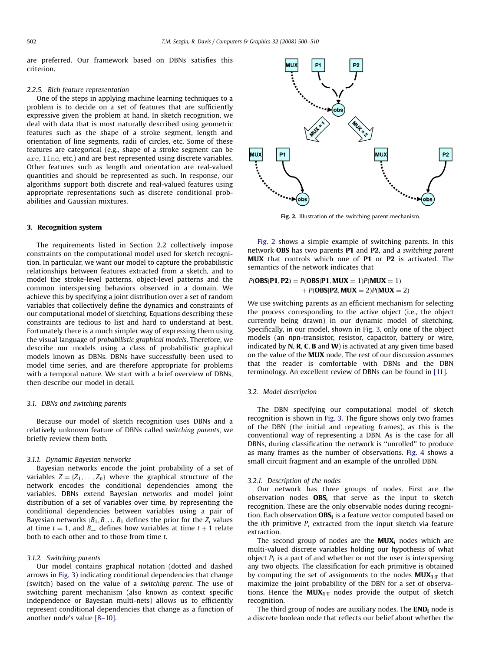are preferred. Our framework based on DBNs satisfies this criterion.

#### 2.2.5. Rich feature representation

One of the steps in applying machine learning techniques to a problem is to decide on a set of features that are sufficiently expressive given the problem at hand. In sketch recognition, we deal with data that is most naturally described using geometric features such as the shape of a stroke segment, length and orientation of line segments, radii of circles, etc. Some of these features are categorical (e.g., shape of a stroke segment can be arc, line, etc.) and are best represented using discrete variables. Other features such as length and orientation are real-valued quantities and should be represented as such. In response, our algorithms support both discrete and real-valued features using appropriate representations such as discrete conditional probabilities and Gaussian mixtures.

#### 3. Recognition system

The requirements listed in Section 2.2 collectively impose constraints on the computational model used for sketch recognition. In particular, we want our model to capture the probabilistic relationships between features extracted from a sketch, and to model the stroke-level patterns, object-level patterns and the common interspersing behaviors observed in a domain. We achieve this by specifying a joint distribution over a set of random variables that collectively define the dynamics and constraints of our computational model of sketching. Equations describing these constraints are tedious to list and hard to understand at best. Fortunately there is a much simpler way of expressing them using the visual language of probabilistic graphical models. Therefore, we describe our models using a class of probabilistic graphical models known as DBNs. DBNs have successfully been used to model time series, and are therefore appropriate for problems with a temporal nature. We start with a brief overview of DBNs, then describe our model in detail.

## 3.1. DBNs and switching parents

Because our model of sketch recognition uses DBNs and a relatively unknown feature of DBNs called switching parents, we briefly review them both.

## 3.1.1. Dynamic Bayesian networks

Bayesian networks encode the joint probability of a set of variables  $Z = \{Z_1, \ldots, Z_n\}$  where the graphical structure of the network encodes the conditional dependencies among the variables. DBNs extend Bayesian networks and model joint distribution of a set of variables over time, by representing the conditional dependencies between variables using a pair of Bayesian networks  $\langle B_1, B_+ \rangle$ .  $B_1$  defines the prior for the  $Z_i$  values at time  $t = 1$ , and  $B_{\rightarrow}$  defines how variables at time  $t + 1$  relate both to each other and to those from time t.

# 3.1.2. Switching parents

Our model contains graphical notation (dotted and dashed arrows in [Fig. 3](#page-3-0)) indicating conditional dependencies that change (switch) based on the value of a switching parent. The use of switching parent mechanism (also known as context specific independence or Bayesian multi-nets) allows us to efficiently represent conditional dependencies that change as a function of another node's value [\[8–10\]](#page-10-0).



Fig. 2. Illustration of the switching parent mechanism.

Fig. 2 shows a simple example of switching parents. In this network OBS has two parents P1 and P2, and a switching parent MUX that controls which one of P1 or P2 is activated. The semantics of the network indicates that

$$
P(OBS|P1,P2) = P(OBS|P1,MUX = 1)P(MUX = 1)+ P(OBS|P2,MUX = 2)P(MUX = 2)
$$

We use switching parents as an efficient mechanism for selecting the process corresponding to the active object (i.e., the object currently being drawn) in our dynamic model of sketching. Specifically, in our model, shown in [Fig. 3](#page-3-0), only one of the object models (an npn-transistor, resistor, capacitor, battery or wire, indicated by  $N$ ,  $R$ ,  $C$ ,  $B$  and  $W$ ) is activated at any given time based on the value of the MUX node. The rest of our discussion assumes that the reader is comfortable with DBNs and the DBN terminology. An excellent review of DBNs can be found in [\[11\]](#page-10-0).

# 3.2. Model description

The DBN specifying our computational model of sketch recognition is shown in [Fig. 3](#page-3-0). The figure shows only two frames of the DBN (the initial and repeating frames), as this is the conventional way of representing a DBN. As is the case for all DBNs, during classification the network is ''unrolled'' to produce as many frames as the number of observations. [Fig. 4](#page-3-0) shows a small circuit fragment and an example of the unrolled DBN.

#### 3.2.1. Description of the nodes

Our network has three groups of nodes. First are the observation nodes  $OBS_i$  that serve as the input to sketch recognition. These are the only observable nodes during recognition. Each observation  $OBS_i$  is a feature vector computed based on the ith primitive  $P_i$  extracted from the input sketch via feature extraction.

The second group of nodes are the  $MUX_i$  nodes which are multi-valued discrete variables holding our hypothesis of what object  $P_t$  is a part of and whether or not the user is interspersing any two objects. The classification for each primitive is obtained by computing the set of assignments to the nodes  $MUX_{1:T}$  that maximize the joint probability of the DBN for a set of observations. Hence the  $MUX_{1:T}$  nodes provide the output of sketch recognition.

The third group of nodes are auxiliary nodes. The  $END<sub>i</sub>$  node is a discrete boolean node that reflects our belief about whether the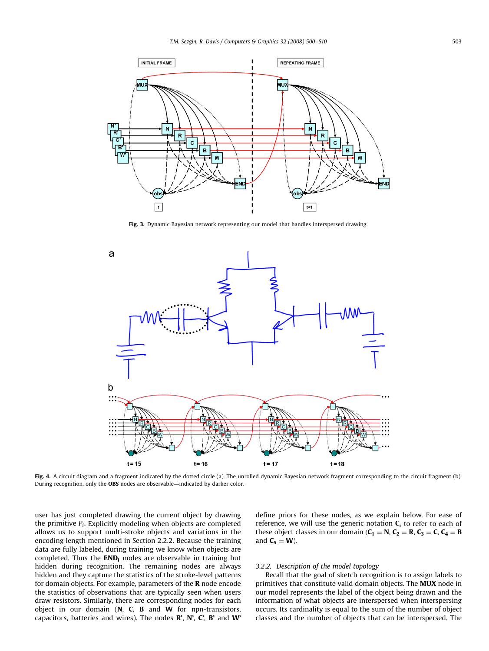<span id="page-3-0"></span>

Fig. 3. Dynamic Bayesian network representing our model that handles interspersed drawing.



Fig. 4. A circuit diagram and a fragment indicated by the dotted circle (a). The unrolled dynamic Bayesian network fragment corresponding to the circuit fragment (b). During recognition, only the OBS nodes are observable—indicated by darker color.

user has just completed drawing the current object by drawing the primitive  $P_i$ . Explicitly modeling when objects are completed allows us to support multi-stroke objects and variations in the encoding length mentioned in Section 2.2.2. Because the training data are fully labeled, during training we know when objects are completed. Thus the  $END<sub>i</sub>$  nodes are observable in training but hidden during recognition. The remaining nodes are always hidden and they capture the statistics of the stroke-level patterns for domain objects. For example, parameters of the  **node encode** the statistics of observations that are typically seen when users draw resistors. Similarly, there are corresponding nodes for each object in our domain  $(N, C, B)$  and  $W$  for npn-transistors, capacitors, batteries and wires). The nodes R', N', C', B' and W' define priors for these nodes, as we explain below. For ease of reference, we will use the generic notation  $C_i$  to refer to each of these object classes in our domain  $(C_1 = N, C_2 = R, C_3 = C, C_4 = B)$ and  $C_5 = W$ ).

#### 3.2.2. Description of the model topology

Recall that the goal of sketch recognition is to assign labels to primitives that constitute valid domain objects. The MUX node in our model represents the label of the object being drawn and the information of what objects are interspersed when interspersing occurs. Its cardinality is equal to the sum of the number of object classes and the number of objects that can be interspersed. The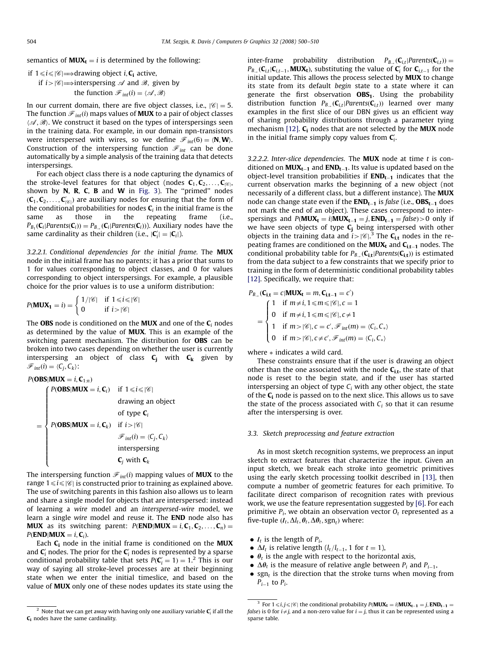semantics of  $MUX_t = i$  is determined by the following:

if 
$$
1 \le i \le |\mathscr{C}| \Longrightarrow
$$
 drawing object *i*, **C**<sub>i</sub> active,

if 
$$
i > |\mathscr{C}|
$$
  $\Longrightarrow$  interspersing  $\mathscr{A}$  and  $\mathscr{B}$ , given by

the function 
$$
\mathcal{F}_{int}(i) = \langle \mathcal{A}, \mathcal{B} \rangle
$$

In our current domain, there are five object classes, i.e.,  $|\mathscr{C}| = 5$ . The function  $\mathcal{F}_{int}(i)$  maps values of **MUX** to a pair of object classes  $\langle \mathcal{A}, \mathcal{B} \rangle$ . We construct it based on the types of interspersings seen in the training data. For example, in our domain npn-transistors were interspersed with wires, so we define  $\mathcal{F}_{int}(6) = \langle \mathbf{N}, \mathbf{W} \rangle$ . Construction of the interspersing function  $\mathcal{F}_{int}$  can be done automatically by a simple analysis of the training data that detects interspersings.

For each object class there is a node capturing the dynamics of the stroke-level features for that object (nodes  $C_1, C_2, \ldots, C_{|\mathscr{C}|}$ , shown by  $N$ ,  $R$ ,  $C$ ,  $B$  and  $W$  in [Fig. 3](#page-3-0)). The "primed" nodes  $(\textsf{C}_1,\textsf{C}_2,\ldots,\textsf{C}'_{|\mathscr{C}|})$  are auxiliary nodes for ensuring that the form of the conditional probabilities for nodes  $C_i$  in the initial frame is the same as those in the repeating frame (i.e.,  $P_{B_1}(\mathbf{C}_i| Parents(\mathbf{C}_i)) = P_{B_{\perp}}(\mathbf{C}_i| Parents(\mathbf{C}_i))$ . Auxiliary nodes have the same cardinality as their children (i.e.,  $|\mathbf{C}'_i| = |\mathbf{C}_i|$ ).

3.2.2.1. Conditional dependencies for the initial frame. The MUX node in the initial frame has no parents; it has a prior that sums to 1 for values corresponding to object classes, and 0 for values corresponding to object interspersings. For example, a plausible choice for the prior values is to use a uniform distribution:

$$
P(\mathbf{MUX_1} = i) = \begin{cases} 1/|\mathscr{C}| & \text{if } 1 \le i \le |\mathscr{C}| \\ 0 & \text{if } i > |\mathscr{C}| \end{cases}
$$

The **OBS** node is conditioned on the **MUX** and one of the  $C_i$  nodes as determined by the value of MUX. This is an example of the switching parent mechanism. The distribution for OBS can be broken into two cases depending on whether the user is currently interspersing an object of class  $C_i$  with  $C_k$  given by  $\mathscr{F}_{int}(i) = \langle C_j, C_k \rangle$ :

 $P(**OBS**|**MUX** = i, **C**<sub>1:n</sub>)$  $=$  $P(**OBS**|**MUX** = i, C<sub>i</sub>)$  if  $1 \le i \le |\mathscr{C}|$ drawing an object of type  $C_i$  $P(OBS|MUX = i, C_k)$  if  $i > |\mathscr{C}|$  $\mathscr{F}_{int}(i) = \langle C_i, C_k \rangle$ interspersing  $C_i$  with  $C_k$  $\epsilon$  $\overline{\phantom{a}}$ |<br>|<br>|<br>|<br>|

The interspersing function  $\mathcal{F}_{int}(i)$  mapping values of **MUX** to the range  $1 \leq i \leq |\mathscr{C}|$  is constructed prior to training as explained above. The use of switching parents in this fashion also allows us to learn and share a single model for objects that are interspersed: instead of learning a wire model and an interspersed-wire model, we learn a single wire model and reuse it. The **END** node also has **MUX** as its switching parent:  $P(\text{END}|MUX = i, C_1, C_2, \ldots, C_n) =$  $P(\text{END}|MUX = i, C_i)$ .

Each  $C_i$  node in the initial frame is conditioned on the MUX and  ${\bf C}_i'$  nodes. The prior for the  ${\bf C}_i'$  nodes is represented by a sparse conditional probability table that sets  $P(C_i = 1) = 1$ .<sup>2</sup> This is our way of saying all stroke-level processes are at their beginning state when we enter the initial timeslice, and based on the value of MUX only one of these nodes updates its state using the

inter-frame probability distribution  $P_B(\mathbf{C}_{it} | Parents(\mathbf{C}_{it})) =$  $P_{B_{\rightarrow}}(C_{i,t}|C_{i,t-1}, MUX_t)$ , substituting the value of  $C_i$  for  $C_{i,t-1}$  for the initial update. This allows the process selected by **MUX** to change its state from its default begin state to a state where it can generate the first observation  $OBS<sub>1</sub>$ . Using the probability distribution function  $P_{B_{\rightarrow}}(C_{i,t}| \text{Parents}(C_{i,t}))$  learned over many examples in the first slice of our DBN gives us an efficient way of sharing probability distributions through a parameter tying mechanism  $[12]$ .  $C_i$  nodes that are not selected by the MUX node in the initial frame simply copy values from  $C_i$ .

3.2.2.2. Inter-slice dependencies. The  $MUX$  node at time t is conditioned on  $MUX_{t-1}$  and  $END_{t-1}$ . Its value is updated based on the object-level transition probabilities if  $END_{t-1}$  indicates that the current observation marks the beginning of a new object (not necessarily of a different class, but a different instance). The MUX node can change state even if the  $\text{END}_{t-1}$  is false (i.e.,  $\text{OBS}_{t-1}$  does not mark the end of an object). These cases correspond to interspersings and  $P(MUX_t = i|MUX_{t-1} = j, END_{t-1} = false) > 0$  only if we have seen objects of type  $C_i$  being interspersed with other objects in the training data and  $i>|C|$ .<sup>3</sup> The  $C_{i,t}$  nodes in the repeating frames are conditioned on the **MUX<sub>t</sub>** and  $C_{i,t-1}$  nodes. The conditional probability table for  $P_{B_{\rightarrow}}(C_{i,t}| \text{Parents}(C_{i,t}))$  is estimated from the data subject to a few constraints that we specify prior to training in the form of deterministic conditional probability tables [\[12\]](#page-10-0). Specifically, we require that:

$$
P_{B_{\rightarrow}}(\mathbf{C_{i,t}} = c|\mathbf{MUX_{t}} = m, \mathbf{C_{i,t-1}} = c')
$$
  
= 
$$
\begin{cases} 1 & \text{if } m \neq i, 1 \le m \le |\mathcal{C}|, c = 1 \\ 0 & \text{if } m \ne i, 1 \le m \le |\mathcal{C}|, c \ne 1 \\ 1 & \text{if } m > |\mathcal{C}|, c = c', \mathcal{F}_{int}(m) = \langle C_i, C_* \rangle \\ 0 & \text{if } m > |\mathcal{C}|, c \ne c', \mathcal{F}_{int}(m) = \langle C_i, C_* \rangle \end{cases}
$$

where  $*$  indicates a wild card.

These constraints ensure that if the user is drawing an object other than the one associated with the node  $C_{i,t}$ , the state of that node is reset to the begin state, and if the user has started interspersing an object of type  $C_i$  with any other object, the state of the  $C_i$  node is passed on to the next slice. This allows us to save the state of the process associated with  $C_i$  so that it can resume after the interspersing is over.

#### 3.3. Sketch preprocessing and feature extraction

As in most sketch recognition systems, we preprocess an input sketch to extract features that characterize the input. Given an input sketch, we break each stroke into geometric primitives using the early sketch processing toolkit described in [\[13\]](#page-10-0), then compute a number of geometric features for each primitive. To facilitate direct comparison of recognition rates with previous work, we use the feature representation suggested by [\[6\]](#page-10-0). For each primitive  $P_i$ , we obtain an observation vector  $O_t$  represented as a five-tuple  $(l_t, \Delta l_t, \theta_t, \Delta \theta_t, \text{sgn}_t)$  where:

- $\bullet$   $l_t$  is the length of  $P_i$ ,
- $\Delta l_t$  is relative length  $(l_t/l_{t-1}, 1$  for  $t = 1)$ ,
- $\bullet$   $\theta_t$  is the angle with respect to the horizontal axis,
- $\bullet$   $\Delta\theta_t$  is the measure of relative angle between  $P_i$  and  $P_{i-1}$ ,
- $\bullet$  sgn<sub>t</sub> is the direction that the stroke turns when moving from  $P_{i-1}$  to  $P_i$ .

 $^2$  Note that we can get away with having only one auxiliary variable  $\mathbf{C}_i'$  if all the  $C_i$  nodes have the same cardinality.

<sup>&</sup>lt;sup>3</sup> For  $1 \le i, j \le |\mathscr{C}|$  the conditional probability  $P(\text{MUX}_t = i | \text{MUX}_{t-1} = j, \text{END}_{t-1} = j)$ *false*) is 0 for  $i \neq j$ , and a non-zero value for  $i = j$ , thus it can be represented using a sparse table.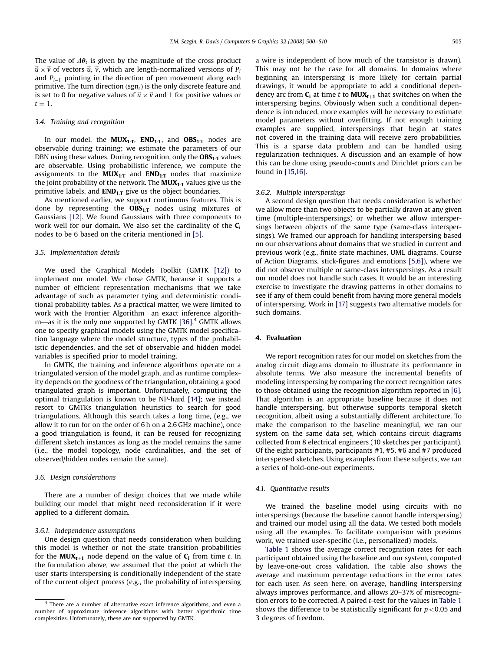The value of  $\Delta\theta_t$  is given by the magnitude of the cross product  $\vec{u} \times \vec{v}$  of vectors  $\vec{u}$ ,  $\vec{v}$ , which are length-normalized versions of  $P_i$ and  $P_{i-1}$  pointing in the direction of pen movement along each primitive. The turn direction  $(sgn_t)$  is the only discrete feature and is set to 0 for negative values of  $\vec{u} \times \vec{v}$  and 1 for positive values or  $t = 1$ .

#### 3.4. Training and recognition

In our model, the  $MUX_{1:T}$ ,  $END_{1:T}$ , and  $OBS_{1:T}$  nodes are observable during training; we estimate the parameters of our DBN using these values. During recognition, only the  $OBS_{1:T}$  values are observable. Using probabilistic inference, we compute the assignments to the  $MUX_{1:T}$  and  $END_{1:T}$  nodes that maximize the joint probability of the network. The  $MUX_{1:T}$  values give us the primitive labels, and  $END_{1:T}$  give us the object boundaries.

As mentioned earlier, we support continuous features. This is done by representing the  $OBS_{1:T}$  nodes using mixtures of Gaussians [\[12\].](#page-10-0) We found Gaussians with three components to work well for our domain. We also set the cardinality of the  $C_i$ nodes to be 6 based on the criteria mentioned in [\[5\].](#page-10-0)

#### 3.5. Implementation details

We used the Graphical Models Toolkit (GMTK [\[12\]](#page-10-0)) to implement our model. We chose GMTK, because it supports a number of efficient representation mechanisms that we take advantage of such as parameter tying and deterministic conditional probability tables. As a practical matter, we were limited to work with the Frontier Algorithm—an exact inference algorith-m—as it is the only one supported by GMTK [\[36\]](#page-10-0).<sup>4</sup> GMTK allows one to specify graphical models using the GMTK model specification language where the model structure, types of the probabilistic dependencies, and the set of observable and hidden model variables is specified prior to model training.

In GMTK, the training and inference algorithms operate on a triangulated version of the model graph, and as runtime complexity depends on the goodness of the triangulation, obtaining a good triangulated graph is important. Unfortunately, computing the optimal triangulation is known to be NP-hard [\[14\]](#page-10-0); we instead resort to GMTKs triangulation heuristics to search for good triangulations. Although this search takes a long time, (e.g., we allow it to run for on the order of 6 h on a 2.6 GHz machine), once a good triangulation is found, it can be reused for recognizing different sketch instances as long as the model remains the same (i.e., the model topology, node cardinalities, and the set of observed/hidden nodes remain the same).

## 3.6. Design considerations

There are a number of design choices that we made while building our model that might need reconsideration if it were applied to a different domain.

#### 3.6.1. Independence assumptions

One design question that needs consideration when building this model is whether or not the state transition probabilities for the **MUX**<sub>t+1</sub> node depend on the value of  $C_i$  from time t. In the formulation above, we assumed that the point at which the user starts interspersing is conditionally independent of the state of the current object process (e.g., the probability of interspersing a wire is independent of how much of the transistor is drawn). This may not be the case for all domains. In domains where beginning an interspersing is more likely for certain partial drawings, it would be appropriate to add a conditional dependency arc from  $C_i$  at time t to  $MUX_{t+1}$  that switches on when the interspersing begins. Obviously when such a conditional dependence is introduced, more examples will be necessary to estimate model parameters without overfitting. If not enough training examples are supplied, interspersings that begin at states not covered in the training data will receive zero probabilities. This is a sparse data problem and can be handled using regularization techniques. A discussion and an example of how this can be done using pseudo-counts and Dirichlet priors can be found in [\[15,16\]](#page-10-0).

# 3.6.2. Multiple interspersings

A second design question that needs consideration is whether we allow more than two objects to be partially drawn at any given time (multiple-interspersings) or whether we allow interspersings between objects of the same type (same-class interspersings). We framed our approach for handling interspersing based on our observations about domains that we studied in current and previous work (e.g., finite state machines, UML diagrams, Course of Action Diagrams, stick-figures and emotions [\[5,6\]\)](#page-10-0), where we did not observe multiple or same-class interspersings. As a result our model does not handle such cases. It would be an interesting exercise to investigate the drawing patterns in other domains to see if any of them could benefit from having more general models of interspersing. Work in [\[17\]](#page-10-0) suggests two alternative models for such domains.

# 4. Evaluation

We report recognition rates for our model on sketches from the analog circuit diagrams domain to illustrate its performance in absolute terms. We also measure the incremental benefits of modeling interspersing by comparing the correct recognition rates to those obtained using the recognition algorithm reported in [\[6\].](#page-10-0) That algorithm is an appropriate baseline because it does not handle interspersing, but otherwise supports temporal sketch recognition, albeit using a substantially different architecture. To make the comparison to the baseline meaningful, we ran our system on the same data set, which contains circuit diagrams collected from 8 electrical engineers (10 sketches per participant). Of the eight participants, participants #1, #5, #6 and #7 produced interspersed sketches. Using examples from these subjects, we ran a series of hold-one-out experiments.

#### 4.1. Quantitative results

We trained the baseline model using circuits with no interspersings (because the baseline cannot handle interspersing) and trained our model using all the data. We tested both models using all the examples. To facilitate comparison with previous work, we trained user-specific (i.e., personalized) models.

[Table 1](#page-6-0) shows the average correct recognition rates for each participant obtained using the baseline and our system, computed by leave-one-out cross validation. The table also shows the average and maximum percentage reductions in the error rates for each user. As seen here, on average, handling interspersing always improves performance, and allows 20–37% of misrecognition errors to be corrected. A paired t-test for the values in [Table 1](#page-6-0) shows the difference to be statistically significant for  $p < 0.05$  and 3 degrees of freedom.

<sup>&</sup>lt;sup>4</sup> There are a number of alternative exact inference algorithms, and even a number of approximate inference algorithms with better algorithmic time complexities. Unfortunately, these are not supported by GMTK.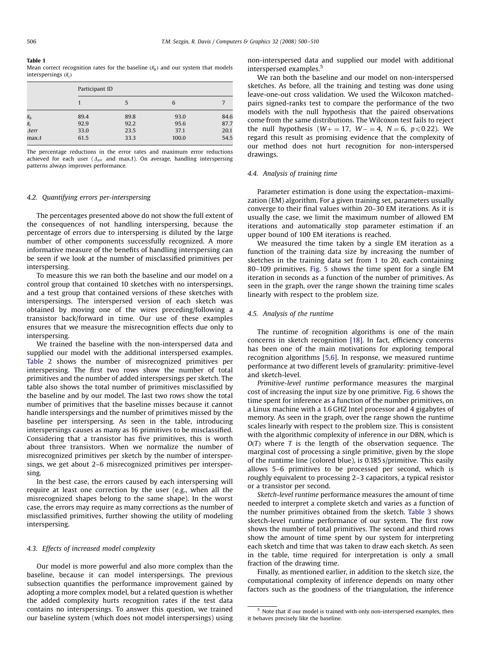#### <span id="page-6-0"></span>Table 1

Mean correct recognition rates for the baseline  $(\bar{x}_b)$  and our system that models interspersings  $(\bar{x}_i)$ 

|             |      | Participant ID |       |      |  |  |  |  |
|-------------|------|----------------|-------|------|--|--|--|--|
|             |      | 5              | 6     |      |  |  |  |  |
| $\bar{x}_b$ | 89.4 | 89.8           | 93.0  | 84.6 |  |  |  |  |
| $\bar{x}_i$ | 92.9 | 92.2           | 95.6  | 87.7 |  |  |  |  |
| Aerr        | 33.0 | 23.5           | 37.1  | 20.1 |  |  |  |  |
| $max\Delta$ | 61.5 | 33.3           | 100.0 | 54.5 |  |  |  |  |

The percentage reductions in the error rates and maximum error reductions achieved for each user ( $\Delta_{err}$  and max $\Delta$ ). On average, handling interspersing patterns always improves performance.

#### 4.2. Quantifying errors per-interspersing

The percentages presented above do not show the full extent of the consequences of not handling interspersing, because the percentage of errors due to interspersing is diluted by the large number of other components successfully recognized. A more informative measure of the benefits of handling interspersing can be seen if we look at the number of misclassified primitives per interspersing.

To measure this we ran both the baseline and our model on a control group that contained 10 sketches with no interspersings, and a test group that contained versions of these sketches with interspersings. The interspersed version of each sketch was obtained by moving one of the wires preceding/following a transistor back/forward in time. Our use of these examples ensures that we measure the misrecognition effects due only to interspersing.

We trained the baseline with the non-interspersed data and supplied our model with the additional interspersed examples. [Table 2](#page-7-0) shows the number of misrecognized primitives per interspersing. The first two rows show the number of total primitives and the number of added interspersings per sketch. The table also shows the total number of primitives misclassified by the baseline and by our model. The last two rows show the total number of primitives that the baseline misses because it cannot handle interspersings and the number of primitives missed by the baseline per interspersing. As seen in the table, introducing interspersings causes as many as 16 primitives to be misclassified. Considering that a transistor has five primitives, this is worth about three transistors. When we normalize the number of misrecognized primitives per sketch by the number of interspersings, we get about 2–6 misrecognized primitives per interspersing.

In the best case, the errors caused by each interspersing will require at least one correction by the user (e.g., when all the misrecognized shapes belong to the same shape). In the worst case, the errors may require as many corrections as the number of misclassified primitives, further showing the utility of modeling interspersing.

#### 4.3. Effects of increased model complexity

Our model is more powerful and also more complex than the baseline, because it can model interspersings. The previous subsection quantifies the performance improvement gained by adopting a more complex model, but a related question is whether the added complexity hurts recognition rates if the test data contains no interspersings. To answer this question, we trained our baseline system (which does not model interspersings) using non-interspersed data and supplied our model with additional interspersed examples.<sup>5</sup>

We ran both the baseline and our model on non-interspersed sketches. As before, all the training and testing was done using leave-one-out cross validation. We used the Wilcoxon matchedpairs signed-ranks test to compare the performance of the two models with the null hypothesis that the paired observations come from the same distributions. The Wilcoxon test fails to reject the null hypothesis ( $W_+ = 17$ ,  $W_- = 4$ ,  $N = 6$ ,  $p \le 0.22$ ). We regard this result as promising evidence that the complexity of our method does not hurt recognition for non-interspersed drawings.

# 4.4. Analysis of training time

Parameter estimation is done using the expectation–maximization (EM) algorithm. For a given training set, parameters usually converge to their final values within 20–30 EM iterations. As it is usually the case, we limit the maximum number of allowed EM iterations and automatically stop parameter estimation if an upper bound of 100 EM iterations is reached.

We measured the time taken by a single EM iteration as a function of the training data size by increasing the number of sketches in the training data set from 1 to 20, each containing 80–109 primitives. [Fig. 5](#page-7-0) shows the time spent for a single EM iteration in seconds as a function of the number of primitives. As seen in the graph, over the range shown the training time scales linearly with respect to the problem size.

## 4.5. Analysis of the runtime

The runtime of recognition algorithms is one of the main concerns in sketch recognition [\[18\].](#page-10-0) In fact, efficiency concerns has been one of the main motivations for exploring temporal recognition algorithms [\[5,6\].](#page-10-0) In response, we measured runtime performance at two different levels of granularity: primitive-level and sketch-level.

Primitive-level runtime performance measures the marginal cost of increasing the input size by one primitive. [Fig. 6](#page-7-0) shows the time spent for inference as a function of the number primitives, on a Linux machine with a 1.6 GHZ Intel processor and 4 gigabytes of memory. As seen in the graph, over the range shown the runtime scales linearly with respect to the problem size. This is consistent with the algorithmic complexity of inference in our DBN, which is  $O(T)$  where T is the length of the observation sequence. The marginal cost of processing a single primitive, given by the slope of the runtime line (colored blue), is 0.185 s/primitive. This easily allows 5–6 primitives to be processed per second, which is roughly equivalent to processing 2–3 capacitors, a typical resistor or a transistor per second.

Sketch-level runtime performance measures the amount of time needed to interpret a complete sketch and varies as a function of the number primitives obtained from the sketch. [Table 3](#page-8-0) shows sketch-level runtime performance of our system. The first row shows the number of total primitives. The second and third rows show the amount of time spent by our system for interpreting each sketch and time that was taken to draw each sketch. As seen in the table, time required for interpretation is only a small fraction of the drawing time.

Finally, as mentioned earlier, in addition to the sketch size, the computational complexity of inference depends on many other factors such as the goodness of the triangulation, the inference

<sup>5</sup> Note that if our model is trained with only non-interspersed examples, then it behaves precisely like the baseline.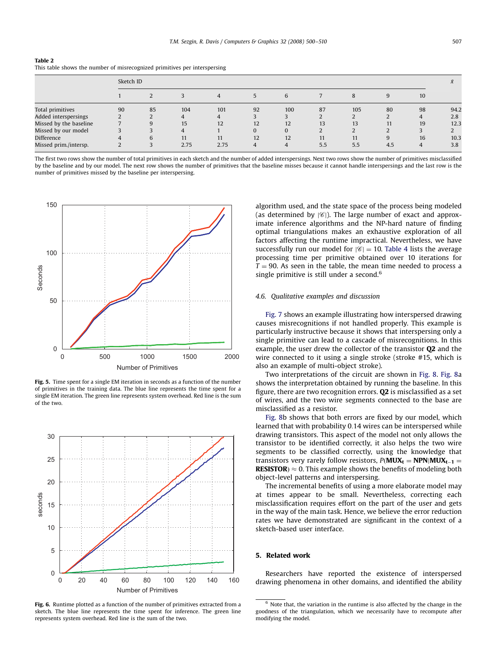<span id="page-7-0"></span>

| Table 2                                                                   |
|---------------------------------------------------------------------------|
| This table shows the number of misrecognized primitives per interspersing |

|                        |    | Sketch ID |      |      |          |          |     |     |     |    |      |
|------------------------|----|-----------|------|------|----------|----------|-----|-----|-----|----|------|
|                        |    |           |      |      | 5        | b        |     | 8   | 9   | 10 |      |
| Total primitives       | 90 | 85        | 104  | 101  | 92       | 100      | 87  | 105 | 80  | 98 | 94.2 |
| Added interspersings   |    |           |      |      |          |          |     |     |     | 4  | 2.8  |
| Missed by the baseline |    |           | 15   | 12   | 12       | 12       | 13  | 13  | 11  | 19 | 12.3 |
| Missed by our model    |    |           |      |      | $\Omega$ | $\Omega$ |     |     |     |    |      |
| Difference             |    | h         | 11   | 11   | 12       | 12       | 11  | 11  | 9   | 16 | 10.3 |
| Missed prim./intersp.  |    |           | 2.75 | 2.75 | 4        | 4        | 5.5 | 5.5 | 4.5 | 4  | 3.8  |

The first two rows show the number of total primitives in each sketch and the number of added interspersings. Next two rows show the number of primitives misclassified by the baseline and by our model. The next row shows the number of primitives that the baseline misses because it cannot handle interspersings and the last row is the number of primitives missed by the baseline per interspersing.



Fig. 5. Time spent for a single EM iteration in seconds as a function of the number of primitives in the training data. The blue line represents the time spent for a single EM iteration. The green line represents system overhead. Red line is the sum of the two.



Fig. 6. Runtime plotted as a function of the number of primitives extracted from a sketch. The blue line represents the time spent for inference. The green line represents system overhead. Red line is the sum of the two.

algorithm used, and the state space of the process being modeled (as determined by  $|\mathscr{C}|$ ). The large number of exact and approximate inference algorithms and the NP-hard nature of finding optimal triangulations makes an exhaustive exploration of all factors affecting the runtime impractical. Nevertheless, we have successfully run our model for  $|\mathscr{C}| = 10$ . [Table 4](#page-8-0) lists the average processing time per primitive obtained over 10 iterations for  $T = 90$ . As seen in the table, the mean time needed to process a single primitive is still under a second. $6$ 

## 4.6. Qualitative examples and discussion

[Fig. 7](#page-8-0) shows an example illustrating how interspersed drawing causes misrecognitions if not handled properly. This example is particularly instructive because it shows that interspersing only a single primitive can lead to a cascade of misrecognitions. In this example, the user drew the collector of the transistor Q2 and the wire connected to it using a single stroke (stroke #15, which is also an example of multi-object stroke).

Two interpretations of the circuit are shown in [Fig. 8](#page-8-0). [Fig. 8](#page-8-0)a shows the interpretation obtained by running the baseline. In this figure, there are two recognition errors. Q2 is misclassified as a set of wires, and the two wire segments connected to the base are misclassified as a resistor.

[Fig. 8b](#page-8-0) shows that both errors are fixed by our model, which learned that with probability 0:14 wires can be interspersed while drawing transistors. This aspect of the model not only allows the transistor to be identified correctly, it also helps the two wire segments to be classified correctly, using the knowledge that transistors very rarely follow resistors,  $P(MUX_t = NPN|MUX_{t-1} =$ **RESISTOR**)  $\approx$  0. This example shows the benefits of modeling both object-level patterns and interspersing.

The incremental benefits of using a more elaborate model may at times appear to be small. Nevertheless, correcting each misclassification requires effort on the part of the user and gets in the way of the main task. Hence, we believe the error reduction rates we have demonstrated are significant in the context of a sketch-based user interface.

# 5. Related work

Researchers have reported the existence of interspersed drawing phenomena in other domains, and identified the ability

 $6$  Note that, the variation in the runtime is also affected by the change in the goodness of the triangulation, which we necessarily have to recompute after modifying the model.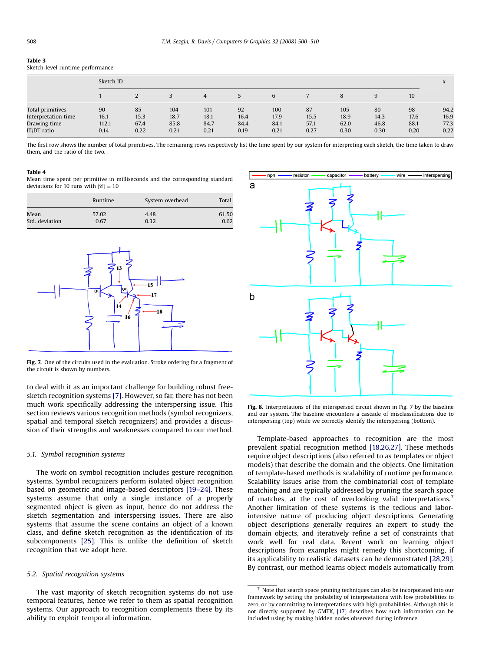#### <span id="page-8-0"></span>Table 3

Sketch-level runtime performance

|                                                                        |                             | Sketch ID                  |                             |                             |                            |                             |                            |                             |                            |                            |                              |
|------------------------------------------------------------------------|-----------------------------|----------------------------|-----------------------------|-----------------------------|----------------------------|-----------------------------|----------------------------|-----------------------------|----------------------------|----------------------------|------------------------------|
|                                                                        |                             | $\mathcal{L}$              |                             | 4                           |                            | 6                           |                            | 8                           | 9                          | 10                         |                              |
| Total primitives<br>Interpretation time<br>Drawing time<br>IT/DT ratio | 90<br>16.1<br>112.1<br>0.14 | 85<br>15.3<br>67.4<br>0.22 | 104<br>18.7<br>85.8<br>0.21 | 101<br>18.1<br>84.7<br>0.21 | 92<br>16.4<br>84.4<br>0.19 | 100<br>17.9<br>84.1<br>0.21 | 87<br>15.5<br>57.1<br>0.27 | 105<br>18.9<br>62.0<br>0.30 | 80<br>14.3<br>46.8<br>0.30 | 98<br>17.6<br>88.1<br>0.20 | 94.2<br>16.9<br>77.3<br>0.22 |

The first row shows the number of total primitives. The remaining rows respectively list the time spent by our system for interpreting each sketch, the time taken to draw them, and the ratio of the two.

#### Table 4

Mean time spent per primitive in milliseconds and the corresponding standard deviations for 10 runs with  $|\mathscr{C}| = 10$ 

|                | Runtime | System overhead | Total |
|----------------|---------|-----------------|-------|
| Mean           | 57.02   | 4.48            | 61.50 |
| Std. deviation | 0.67    | 0.32            | 0.62  |



Fig. 7. One of the circuits used in the evaluation. Stroke ordering for a fragment of the circuit is shown by numbers.

to deal with it as an important challenge for building robust freesketch recognition systems [\[7\]](#page-10-0). However, so far, there has not been much work specifically addressing the interspersing issue. This section reviews various recognition methods (symbol recognizers, spatial and temporal sketch recognizers) and provides a discussion of their strengths and weaknesses compared to our method.

#### 5.1. Symbol recognition systems

The work on symbol recognition includes gesture recognition systems. Symbol recognizers perform isolated object recognition based on geometric and image-based descriptors [\[19–24\].](#page-10-0) These systems assume that only a single instance of a properly segmented object is given as input, hence do not address the sketch segmentation and interspersing issues. There are also systems that assume the scene contains an object of a known class, and define sketch recognition as the identification of its subcomponents [\[25\].](#page-10-0) This is unlike the definition of sketch recognition that we adopt here.

#### 5.2. Spatial recognition systems

The vast majority of sketch recognition systems do not use temporal features, hence we refer to them as spatial recognition systems. Our approach to recognition complements these by its ability to exploit temporal information.



Fig. 8. Interpretations of the interspersed circuit shown in Fig. 7 by the baseline and our system. The baseline encounters a cascade of misclassifications due to interspersing (top) while we correctly identify the interspersing (bottom).

Template-based approaches to recognition are the most prevalent spatial recognition method [\[18,26,27\]](#page-10-0). These methods require object descriptions (also referred to as templates or object models) that describe the domain and the objects. One limitation of template-based methods is scalability of runtime performance. Scalability issues arise from the combinatorial cost of template matching and are typically addressed by pruning the search space of matches, at the cost of overlooking valid interpretations.<sup>7</sup> Another limitation of these systems is the tedious and laborintensive nature of producing object descriptions. Generating object descriptions generally requires an expert to study the domain objects, and iteratively refine a set of constraints that work well for real data. Recent work on learning object descriptions from examples might remedy this shortcoming, if its applicability to realistic datasets can be demonstrated [\[28,29\].](#page-10-0) By contrast, our method learns object models automatically from

<sup>7</sup> Note that search space pruning techniques can also be incorporated into our framework by setting the probability of interpretations with low probabilities to zero, or by committing to interpretations with high probabilities. Although this is not directly supported by GMTK, [\[17\]](#page-10-0) describes how such information can be included using by making hidden nodes observed during inference.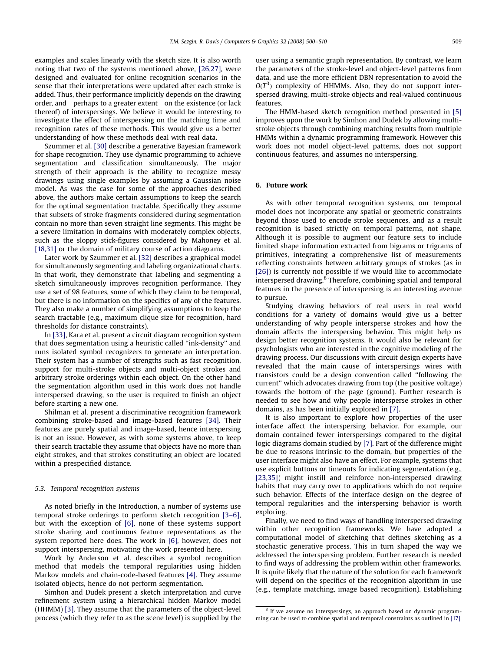examples and scales linearly with the sketch size. It is also worth noting that two of the systems mentioned above, [\[26,27\]](#page-10-0), were designed and evaluated for online recognition scenarios in the sense that their interpretations were updated after each stroke is added. Thus, their performance implicitly depends on the drawing order, and—perhaps to a greater extent—on the existence (or lack thereof) of interspersings. We believe it would be interesting to investigate the effect of interspersing on the matching time and recognition rates of these methods. This would give us a better understanding of how these methods deal with real data.

Szummer et al. [\[30\]](#page-10-0) describe a generative Bayesian framework for shape recognition. They use dynamic programming to achieve segmentation and classification simultaneously. The major strength of their approach is the ability to recognize messy drawings using single examples by assuming a Gaussian noise model. As was the case for some of the approaches described above, the authors make certain assumptions to keep the search for the optimal segmentation tractable. Specifically they assume that subsets of stroke fragments considered during segmentation contain no more than seven straight line segments. This might be a severe limitation in domains with moderately complex objects, such as the sloppy stick-figures considered by Mahoney et al. [\[18,31\]](#page-10-0) or the domain of military course of action diagrams.

Later work by Szummer et al. [\[32\]](#page-10-0) describes a graphical model for simultaneously segmenting and labeling organizational charts. In that work, they demonstrate that labeling and segmenting a sketch simultaneously improves recognition performance. They use a set of 98 features, some of which they claim to be temporal, but there is no information on the specifics of any of the features. They also make a number of simplifying assumptions to keep the search tractable (e.g., maximum clique size for recognition, hard thresholds for distance constraints).

In [\[33\],](#page-10-0) Kara et al. present a circuit diagram recognition system that does segmentation using a heuristic called ''ink-density'' and runs isolated symbol recognizers to generate an interpretation. Their system has a number of strengths such as fast recognition, support for multi-stroke objects and multi-object strokes and arbitrary stroke orderings within each object. On the other hand the segmentation algorithm used in this work does not handle interspersed drawing, so the user is required to finish an object before starting a new one.

Shilman et al. present a discriminative recognition framework combining stroke-based and image-based features [\[34\].](#page-10-0) Their features are purely spatial and image-based, hence interspersing is not an issue. However, as with some systems above, to keep their search tractable they assume that objects have no more than eight strokes, and that strokes constituting an object are located within a prespecified distance.

# 5.3. Temporal recognition systems

As noted briefly in the Introduction, a number of systems use temporal stroke orderings to perform sketch recognition [\[3–6\],](#page-10-0) but with the exception of [\[6\],](#page-10-0) none of these systems support stroke sharing and continuous feature representations as the system reported here does. The work in [\[6\]](#page-10-0), however, does not support interspersing, motivating the work presented here.

Work by Anderson et al. describes a symbol recognition method that models the temporal regularities using hidden Markov models and chain-code-based features [\[4\]](#page-10-0). They assume isolated objects, hence do not perform segmentation.

Simhon and Dudek present a sketch interpretation and curve refinement system using a hierarchical hidden Markov model (HHMM) [\[3\].](#page-10-0) They assume that the parameters of the object-level process (which they refer to as the scene level) is supplied by the user using a semantic graph representation. By contrast, we learn the parameters of the stroke-level and object-level patterns from data, and use the more efficient DBN representation to avoid the  $O(T^3)$  complexity of HHMMs. Also, they do not support interspersed drawing, multi-stroke objects and real-valued continuous features.

The HMM-based sketch recognition method presented in [\[5\]](#page-10-0) improves upon the work by Simhon and Dudek by allowing multistroke objects through combining matching results from multiple HMMs within a dynamic programming framework. However this work does not model object-level patterns, does not support continuous features, and assumes no interspersing.

# 6. Future work

As with other temporal recognition systems, our temporal model does not incorporate any spatial or geometric constraints beyond those used to encode stroke sequences, and as a result recognition is based strictly on temporal patterns, not shape. Although it is possible to augment our feature sets to include limited shape information extracted from bigrams or trigrams of primitives, integrating a comprehensive list of measurements reflecting constraints between arbitrary groups of strokes (as in [\[26\]](#page-10-0)) is currently not possible if we would like to accommodate interspersed drawing.<sup>8</sup> Therefore, combining spatial and temporal features in the presence of interspersing is an interesting avenue to pursue.

Studying drawing behaviors of real users in real world conditions for a variety of domains would give us a better understanding of why people intersperse strokes and how the domain affects the interspersing behavior. This might help us design better recognition systems. It would also be relevant for psychologists who are interested in the cognitive modeling of the drawing process. Our discussions with circuit design experts have revealed that the main cause of interspersings wires with transistors could be a design convention called ''following the current'' which advocates drawing from top (the positive voltage) towards the bottom of the page (ground). Further research is needed to see how and why people intersperse strokes in other domains, as has been initially explored in [\[7\].](#page-10-0)

It is also important to explore how properties of the user interface affect the interspersing behavior. For example, our domain contained fewer interspersings compared to the digital logic diagrams domain studied by [\[7\].](#page-10-0) Part of the difference might be due to reasons intrinsic to the domain, but properties of the user interface might also have an effect. For example, systems that use explicit buttons or timeouts for indicating segmentation (e.g., [\[23,35\]\)](#page-10-0) might instill and reinforce non-interspersed drawing habits that may carry over to applications which do not require such behavior. Effects of the interface design on the degree of temporal regularities and the interspersing behavior is worth exploring.

Finally, we need to find ways of handling interspersed drawing within other recognition frameworks. We have adopted a computational model of sketching that defines sketching as a stochastic generative process. This in turn shaped the way we addressed the interspersing problem. Further research is needed to find ways of addressing the problem within other frameworks. It is quite likely that the nature of the solution for each framework will depend on the specifics of the recognition algorithm in use (e.g., template matching, image based recognition). Establishing

<sup>&</sup>lt;sup>8</sup> If we assume no interspersings, an approach based on dynamic programming can be used to combine spatial and temporal constraints as outlined in [\[17\].](#page-10-0)